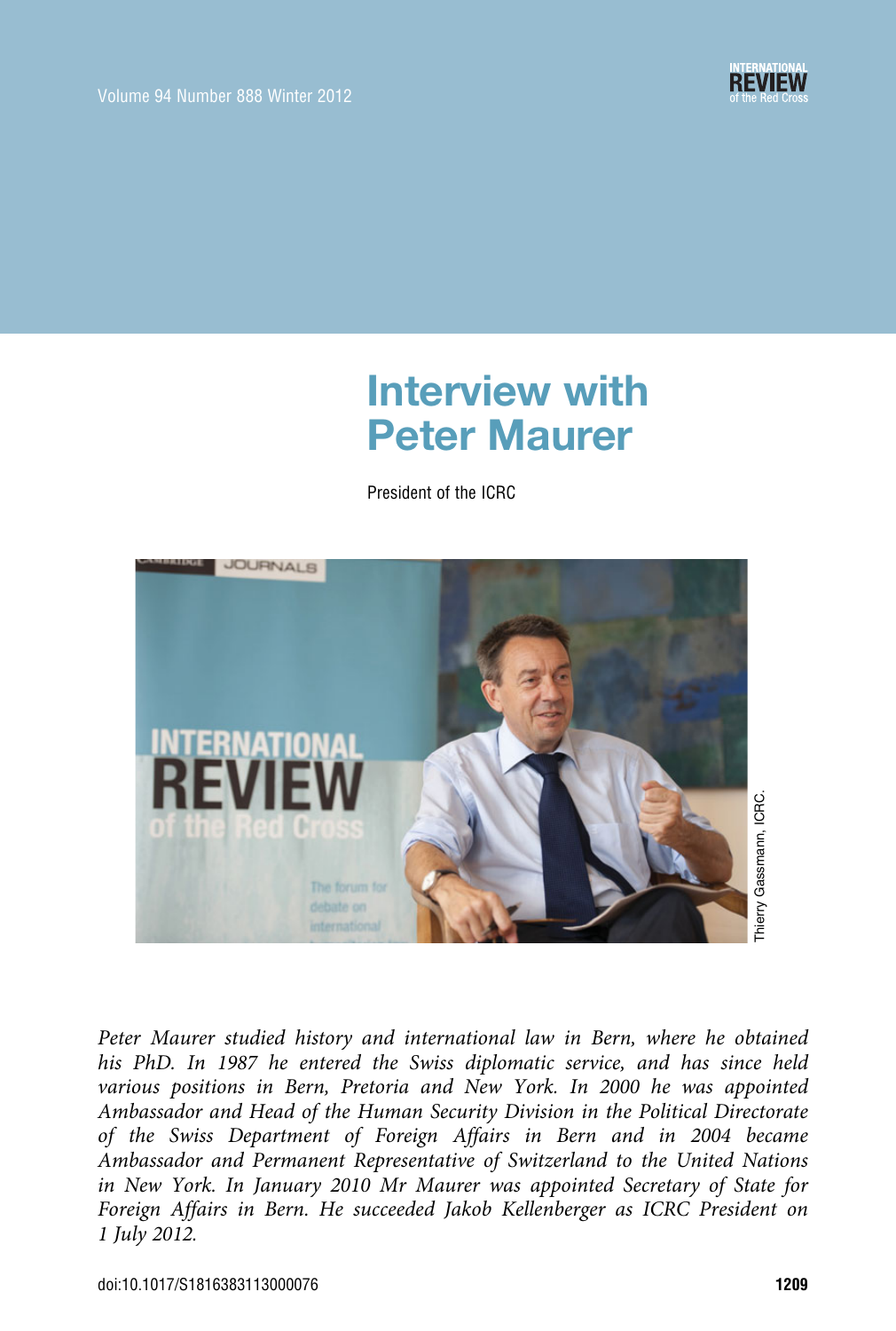

# Interview with Peter Maurer

President of the ICRC



Peter Maurer studied history and international law in Bern, where he obtained his PhD. In 1987 he entered the Swiss diplomatic service, and has since held various positions in Bern, Pretoria and New York. In 2000 he was appointed Ambassador and Head of the Human Security Division in the Political Directorate of the Swiss Department of Foreign Affairs in Bern and in 2004 became Ambassador and Permanent Representative of Switzerland to the United Nations in New York. In January 2010 Mr Maurer was appointed Secretary of State for Foreign Affairs in Bern. He succeeded Jakob Kellenberger as ICRC President on 1 July 2012.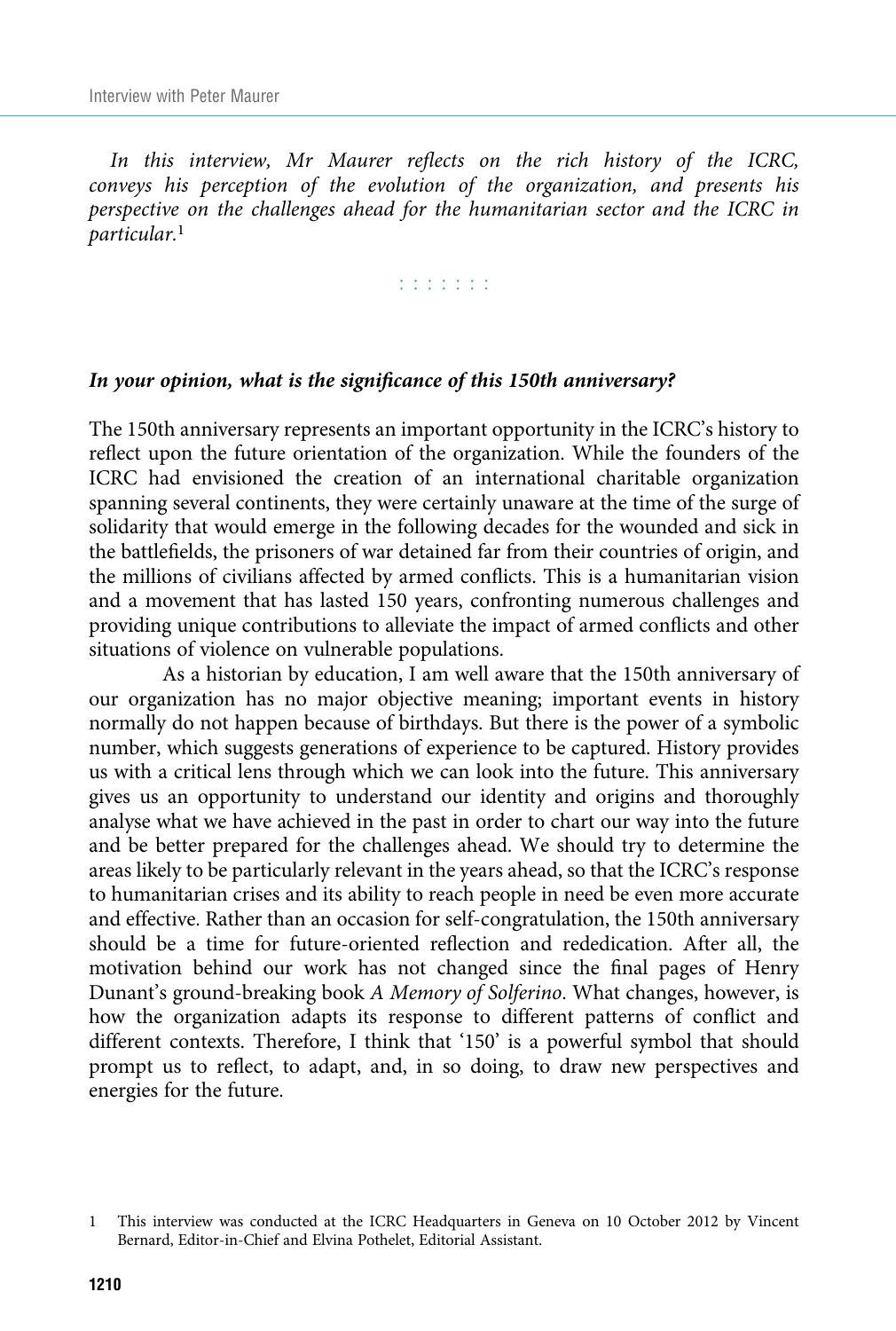In this interview, Mr Maurer reflects on the rich history of the ICRC, conveys his perception of the evolution of the organization, and presents his perspective on the challenges ahead for the humanitarian sector and the ICRC in particular.<sup>1</sup>

r r r r r r r

## In your opinion, what is the significance of this 150th anniversary?

The 150th anniversary represents an important opportunity in the ICRC's history to reflect upon the future orientation of the organization. While the founders of the ICRC had envisioned the creation of an international charitable organization spanning several continents, they were certainly unaware at the time of the surge of solidarity that would emerge in the following decades for the wounded and sick in the battlefields, the prisoners of war detained far from their countries of origin, and the millions of civilians affected by armed conflicts. This is a humanitarian vision and a movement that has lasted 150 years, confronting numerous challenges and providing unique contributions to alleviate the impact of armed conflicts and other situations of violence on vulnerable populations.

As a historian by education, I am well aware that the 150th anniversary of our organization has no major objective meaning; important events in history normally do not happen because of birthdays. But there is the power of a symbolic number, which suggests generations of experience to be captured. History provides us with a critical lens through which we can look into the future. This anniversary gives us an opportunity to understand our identity and origins and thoroughly analyse what we have achieved in the past in order to chart our way into the future and be better prepared for the challenges ahead. We should try to determine the areas likely to be particularly relevant in the years ahead, so that the ICRC's response to humanitarian crises and its ability to reach people in need be even more accurate and effective. Rather than an occasion for self-congratulation, the 150th anniversary should be a time for future-oriented reflection and rededication. After all, the motivation behind our work has not changed since the final pages of Henry Dunant's ground-breaking book A Memory of Solferino. What changes, however, is how the organization adapts its response to different patterns of conflict and different contexts. Therefore, I think that '150' is a powerful symbol that should prompt us to reflect, to adapt, and, in so doing, to draw new perspectives and energies for the future.

<sup>1</sup> This interview was conducted at the ICRC Headquarters in Geneva on 10 October 2012 by Vincent Bernard, Editor-in-Chief and Elvina Pothelet, Editorial Assistant.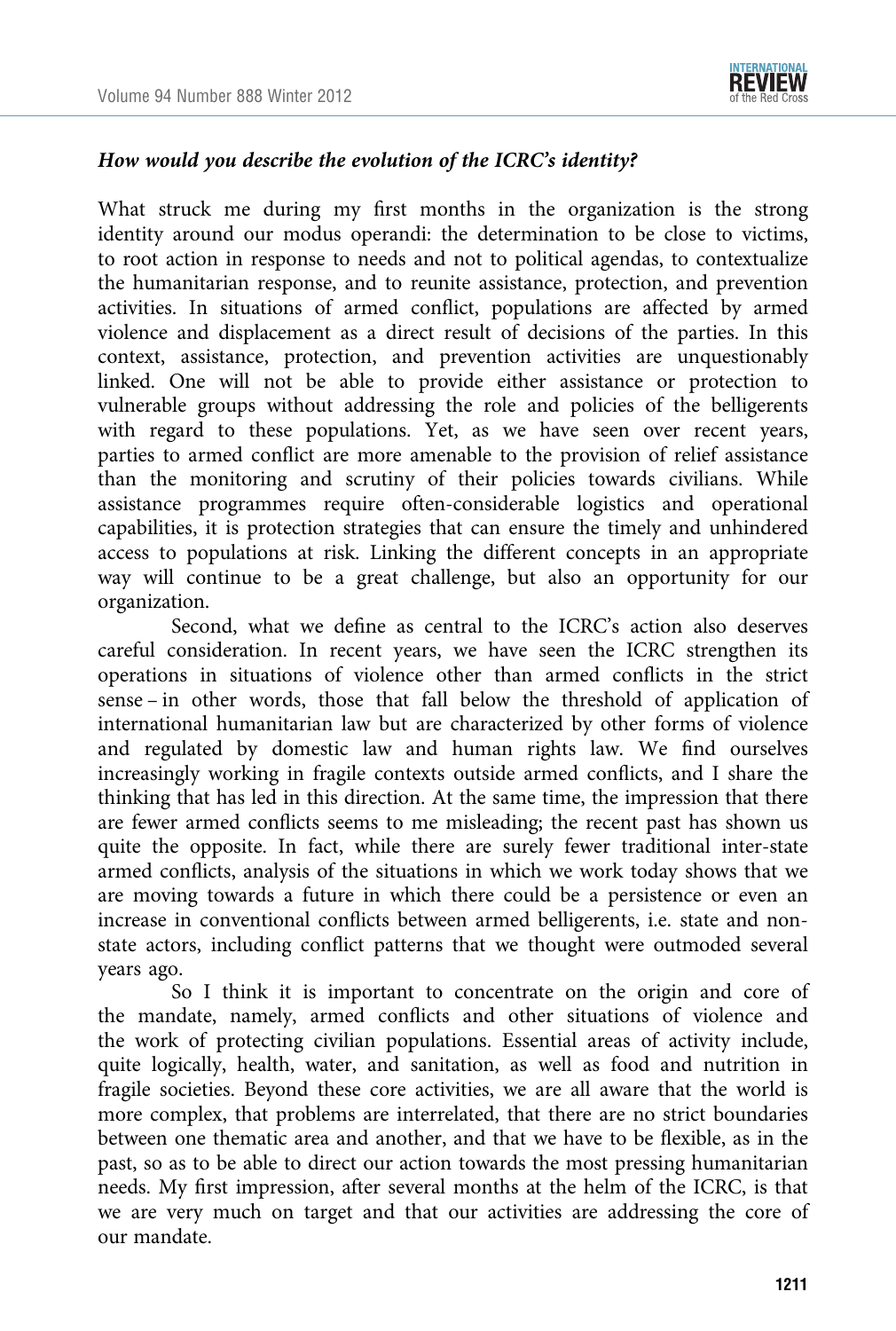

## How would you describe the evolution of the ICRC's identity?

What struck me during my first months in the organization is the strong identity around our modus operandi: the determination to be close to victims, to root action in response to needs and not to political agendas, to contextualize the humanitarian response, and to reunite assistance, protection, and prevention activities. In situations of armed conflict, populations are affected by armed violence and displacement as a direct result of decisions of the parties. In this context, assistance, protection, and prevention activities are unquestionably linked. One will not be able to provide either assistance or protection to vulnerable groups without addressing the role and policies of the belligerents with regard to these populations. Yet, as we have seen over recent years, parties to armed conflict are more amenable to the provision of relief assistance than the monitoring and scrutiny of their policies towards civilians. While assistance programmes require often-considerable logistics and operational capabilities, it is protection strategies that can ensure the timely and unhindered access to populations at risk. Linking the different concepts in an appropriate way will continue to be a great challenge, but also an opportunity for our organization.

Second, what we define as central to the ICRC's action also deserves careful consideration. In recent years, we have seen the ICRC strengthen its operations in situations of violence other than armed conflicts in the strict sense – in other words, those that fall below the threshold of application of international humanitarian law but are characterized by other forms of violence and regulated by domestic law and human rights law. We find ourselves increasingly working in fragile contexts outside armed conflicts, and I share the thinking that has led in this direction. At the same time, the impression that there are fewer armed conflicts seems to me misleading; the recent past has shown us quite the opposite. In fact, while there are surely fewer traditional inter-state armed conflicts, analysis of the situations in which we work today shows that we are moving towards a future in which there could be a persistence or even an increase in conventional conflicts between armed belligerents, i.e. state and nonstate actors, including conflict patterns that we thought were outmoded several years ago.

So I think it is important to concentrate on the origin and core of the mandate, namely, armed conflicts and other situations of violence and the work of protecting civilian populations. Essential areas of activity include, quite logically, health, water, and sanitation, as well as food and nutrition in fragile societies. Beyond these core activities, we are all aware that the world is more complex, that problems are interrelated, that there are no strict boundaries between one thematic area and another, and that we have to be flexible, as in the past, so as to be able to direct our action towards the most pressing humanitarian needs. My first impression, after several months at the helm of the ICRC, is that we are very much on target and that our activities are addressing the core of our mandate.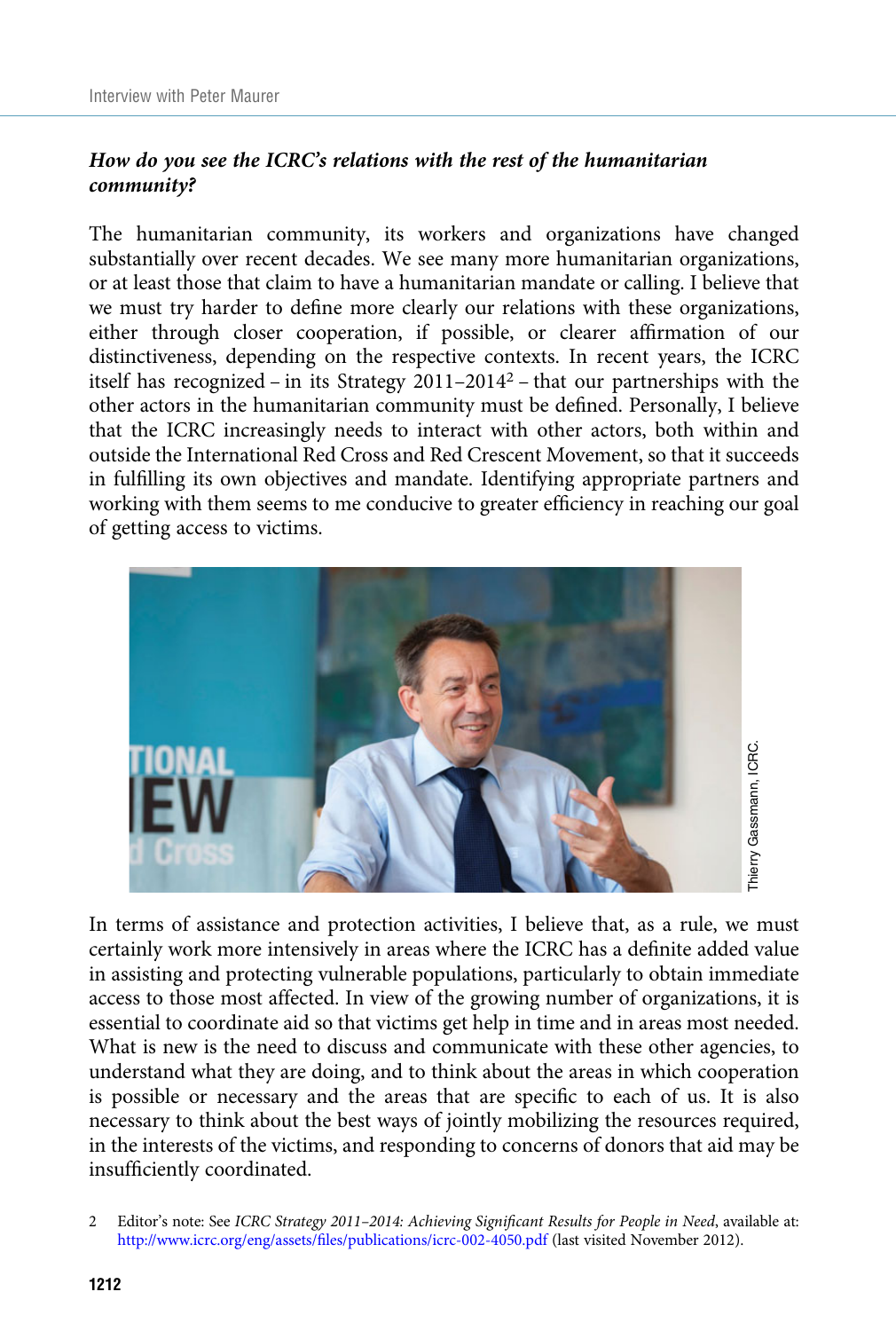## How do you see the ICRC's relations with the rest of the humanitarian community?

The humanitarian community, its workers and organizations have changed substantially over recent decades. We see many more humanitarian organizations, or at least those that claim to have a humanitarian mandate or calling. I believe that we must try harder to define more clearly our relations with these organizations, either through closer cooperation, if possible, or clearer affirmation of our distinctiveness, depending on the respective contexts. In recent years, the ICRC itself has recognized – in its Strategy 2011–2014<sup>2</sup> – that our partnerships with the other actors in the humanitarian community must be defined. Personally, I believe that the ICRC increasingly needs to interact with other actors, both within and outside the International Red Cross and Red Crescent Movement, so that it succeeds in fulfilling its own objectives and mandate. Identifying appropriate partners and working with them seems to me conducive to greater efficiency in reaching our goal of getting access to victims.



In terms of assistance and protection activities, I believe that, as a rule, we must certainly work more intensively in areas where the ICRC has a definite added value in assisting and protecting vulnerable populations, particularly to obtain immediate access to those most affected. In view of the growing number of organizations, it is essential to coordinate aid so that victims get help in time and in areas most needed. What is new is the need to discuss and communicate with these other agencies, to understand what they are doing, and to think about the areas in which cooperation is possible or necessary and the areas that are specific to each of us. It is also necessary to think about the best ways of jointly mobilizing the resources required, in the interests of the victims, and responding to concerns of donors that aid may be insufficiently coordinated.

<sup>2</sup> Editor's note: See ICRC Strategy 2011*–*2014: Achieving Significant Results for People in Need, available at: [http:/](http://www.icrc.org/eng/assets/files/publications/icrc-002-4050.pdf)/www.icrc.org/eng/assets/fi[les/publications/icrc-002-4050.pdf](http://www.icrc.org/eng/assets/files/publications/icrc-002-4050.pdf) (last visited November 2012).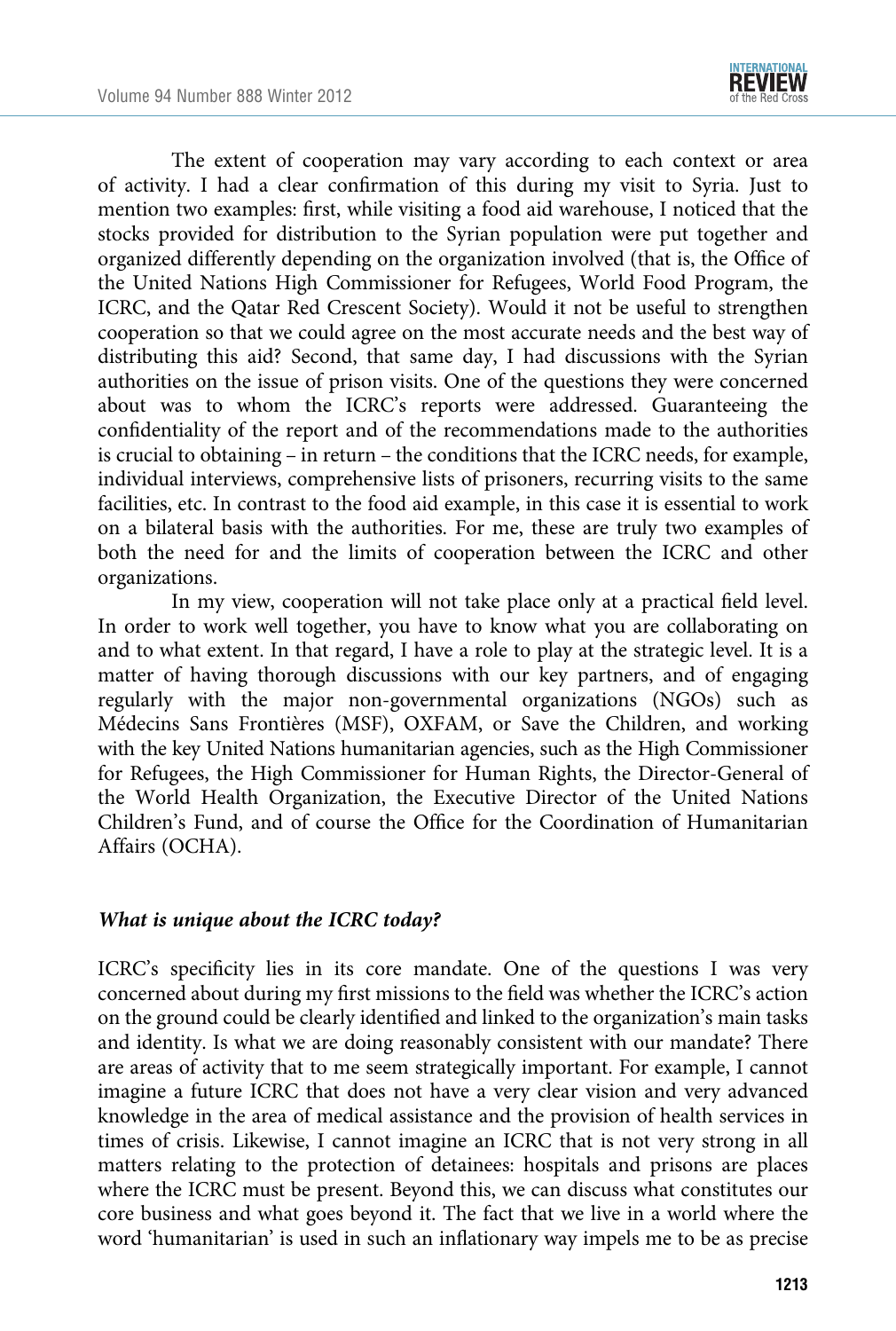

The extent of cooperation may vary according to each context or area of activity. I had a clear confirmation of this during my visit to Syria. Just to mention two examples: first, while visiting a food aid warehouse, I noticed that the stocks provided for distribution to the Syrian population were put together and organized differently depending on the organization involved (that is, the Office of the United Nations High Commissioner for Refugees, World Food Program, the ICRC, and the Qatar Red Crescent Society). Would it not be useful to strengthen cooperation so that we could agree on the most accurate needs and the best way of distributing this aid? Second, that same day, I had discussions with the Syrian authorities on the issue of prison visits. One of the questions they were concerned about was to whom the ICRC's reports were addressed. Guaranteeing the confidentiality of the report and of the recommendations made to the authorities is crucial to obtaining – in return – the conditions that the ICRC needs, for example, individual interviews, comprehensive lists of prisoners, recurring visits to the same facilities, etc. In contrast to the food aid example, in this case it is essential to work on a bilateral basis with the authorities. For me, these are truly two examples of both the need for and the limits of cooperation between the ICRC and other organizations.

In my view, cooperation will not take place only at a practical field level. In order to work well together, you have to know what you are collaborating on and to what extent. In that regard, I have a role to play at the strategic level. It is a matter of having thorough discussions with our key partners, and of engaging regularly with the major non-governmental organizations (NGOs) such as Médecins Sans Frontières (MSF), OXFAM, or Save the Children, and working with the key United Nations humanitarian agencies, such as the High Commissioner for Refugees, the High Commissioner for Human Rights, the Director-General of the World Health Organization, the Executive Director of the United Nations Children's Fund, and of course the Office for the Coordination of Humanitarian Affairs (OCHA).

### What is unique about the ICRC today?

ICRC's specificity lies in its core mandate. One of the questions I was very concerned about during my first missions to the field was whether the ICRC's action on the ground could be clearly identified and linked to the organization's main tasks and identity. Is what we are doing reasonably consistent with our mandate? There are areas of activity that to me seem strategically important. For example, I cannot imagine a future ICRC that does not have a very clear vision and very advanced knowledge in the area of medical assistance and the provision of health services in times of crisis. Likewise, I cannot imagine an ICRC that is not very strong in all matters relating to the protection of detainees: hospitals and prisons are places where the ICRC must be present. Beyond this, we can discuss what constitutes our core business and what goes beyond it. The fact that we live in a world where the word 'humanitarian' is used in such an inflationary way impels me to be as precise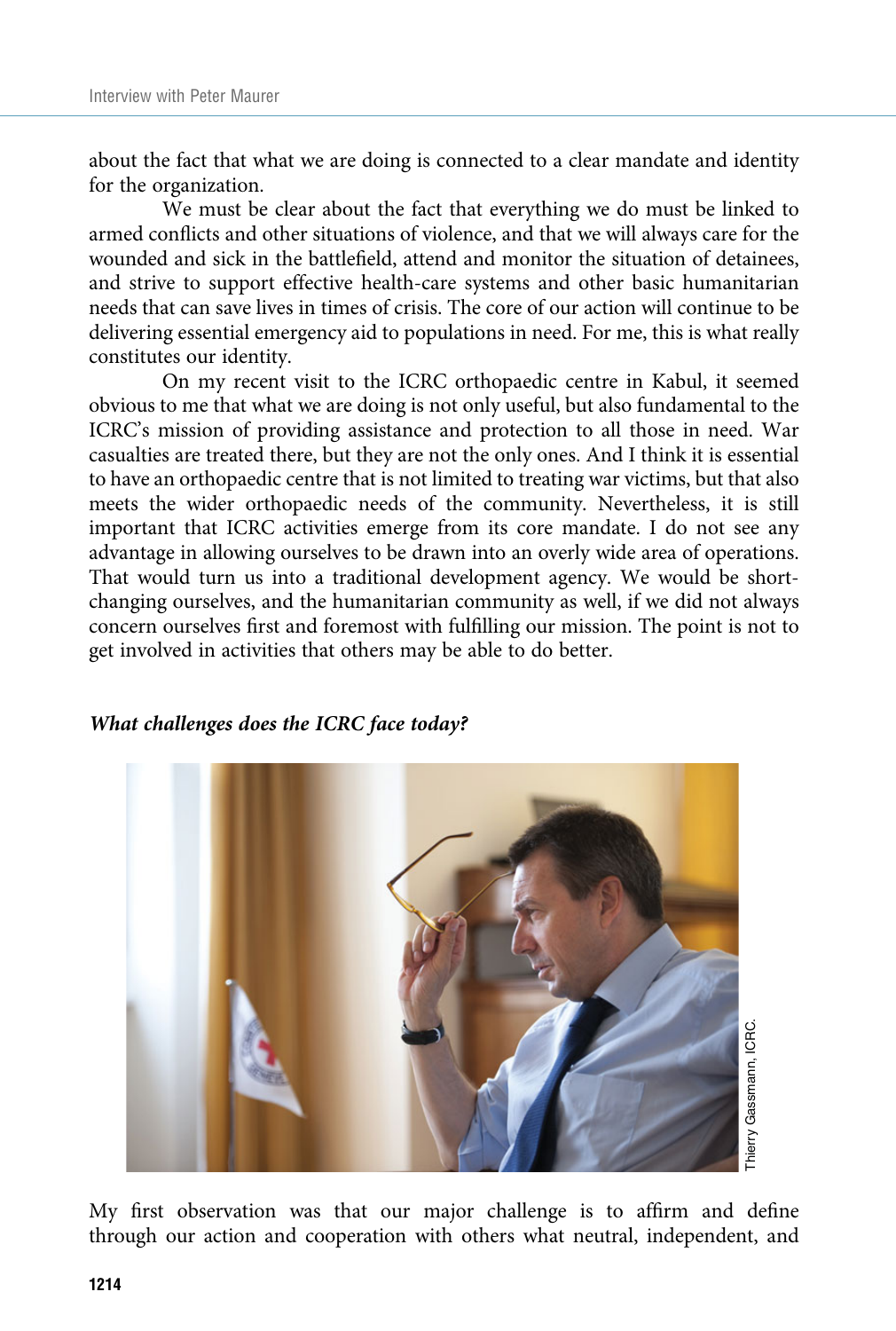about the fact that what we are doing is connected to a clear mandate and identity for the organization.

We must be clear about the fact that everything we do must be linked to armed conflicts and other situations of violence, and that we will always care for the wounded and sick in the battlefield, attend and monitor the situation of detainees, and strive to support effective health-care systems and other basic humanitarian needs that can save lives in times of crisis. The core of our action will continue to be delivering essential emergency aid to populations in need. For me, this is what really constitutes our identity.

On my recent visit to the ICRC orthopaedic centre in Kabul, it seemed obvious to me that what we are doing is not only useful, but also fundamental to the ICRC's mission of providing assistance and protection to all those in need. War casualties are treated there, but they are not the only ones. And I think it is essential to have an orthopaedic centre that is not limited to treating war victims, but that also meets the wider orthopaedic needs of the community. Nevertheless, it is still important that ICRC activities emerge from its core mandate. I do not see any advantage in allowing ourselves to be drawn into an overly wide area of operations. That would turn us into a traditional development agency. We would be shortchanging ourselves, and the humanitarian community as well, if we did not always concern ourselves first and foremost with fulfilling our mission. The point is not to get involved in activities that others may be able to do better.



## What challenges does the ICRC face today?

My first observation was that our major challenge is to affirm and define through our action and cooperation with others what neutral, independent, and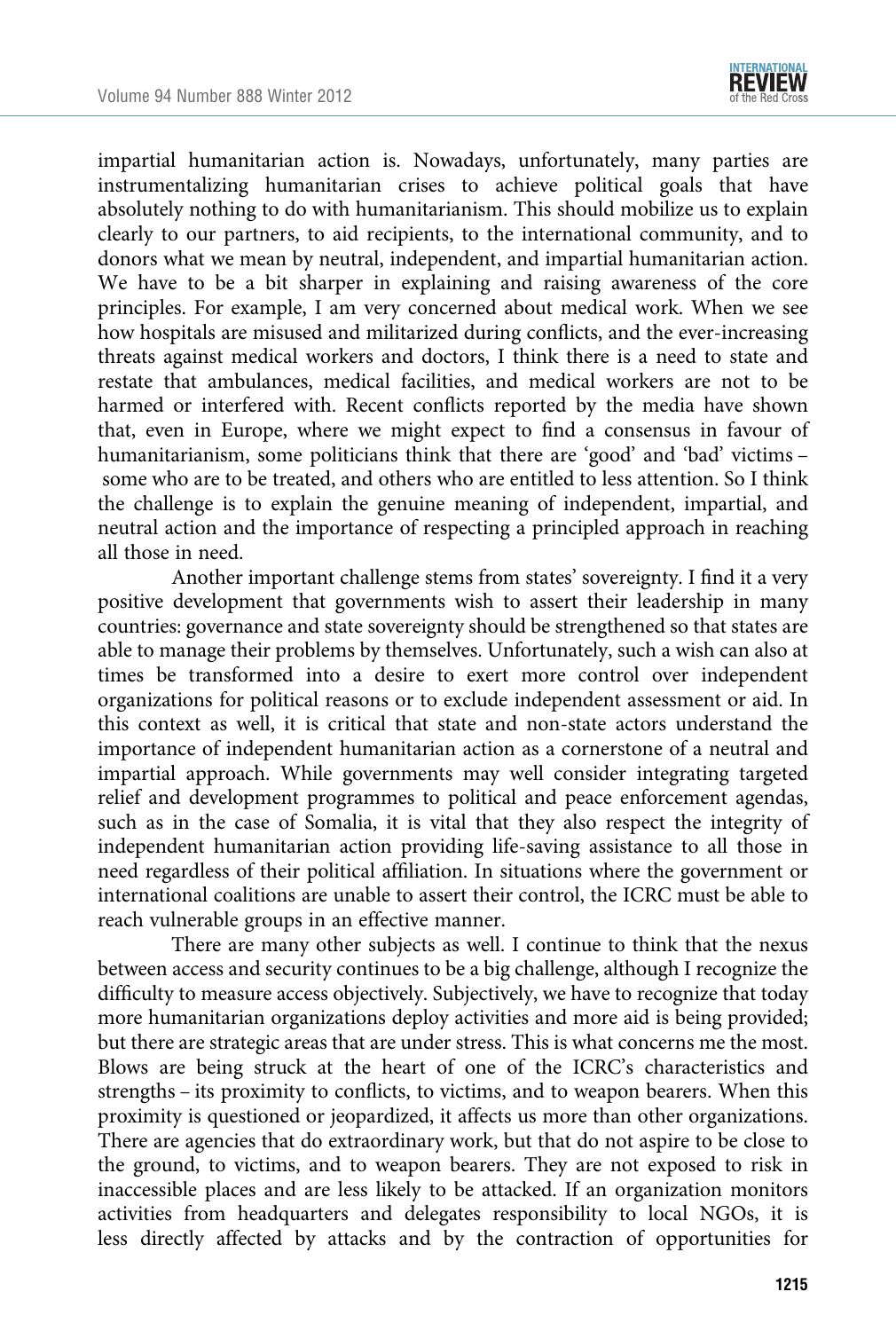

impartial humanitarian action is. Nowadays, unfortunately, many parties are instrumentalizing humanitarian crises to achieve political goals that have absolutely nothing to do with humanitarianism. This should mobilize us to explain clearly to our partners, to aid recipients, to the international community, and to donors what we mean by neutral, independent, and impartial humanitarian action. We have to be a bit sharper in explaining and raising awareness of the core principles. For example, I am very concerned about medical work. When we see how hospitals are misused and militarized during conflicts, and the ever-increasing threats against medical workers and doctors, I think there is a need to state and restate that ambulances, medical facilities, and medical workers are not to be harmed or interfered with. Recent conflicts reported by the media have shown that, even in Europe, where we might expect to find a consensus in favour of humanitarianism, some politicians think that there are 'good' and 'bad' victims – some who are to be treated, and others who are entitled to less attention. So I think the challenge is to explain the genuine meaning of independent, impartial, and neutral action and the importance of respecting a principled approach in reaching all those in need.

Another important challenge stems from states' sovereignty. I find it a very positive development that governments wish to assert their leadership in many countries: governance and state sovereignty should be strengthened so that states are able to manage their problems by themselves. Unfortunately, such a wish can also at times be transformed into a desire to exert more control over independent organizations for political reasons or to exclude independent assessment or aid. In this context as well, it is critical that state and non-state actors understand the importance of independent humanitarian action as a cornerstone of a neutral and impartial approach. While governments may well consider integrating targeted relief and development programmes to political and peace enforcement agendas, such as in the case of Somalia, it is vital that they also respect the integrity of independent humanitarian action providing life-saving assistance to all those in need regardless of their political affiliation. In situations where the government or international coalitions are unable to assert their control, the ICRC must be able to reach vulnerable groups in an effective manner.

There are many other subjects as well. I continue to think that the nexus between access and security continues to be a big challenge, although I recognize the difficulty to measure access objectively. Subjectively, we have to recognize that today more humanitarian organizations deploy activities and more aid is being provided; but there are strategic areas that are under stress. This is what concerns me the most. Blows are being struck at the heart of one of the ICRC's characteristics and strengths – its proximity to conflicts, to victims, and to weapon bearers. When this proximity is questioned or jeopardized, it affects us more than other organizations. There are agencies that do extraordinary work, but that do not aspire to be close to the ground, to victims, and to weapon bearers. They are not exposed to risk in inaccessible places and are less likely to be attacked. If an organization monitors activities from headquarters and delegates responsibility to local NGOs, it is less directly affected by attacks and by the contraction of opportunities for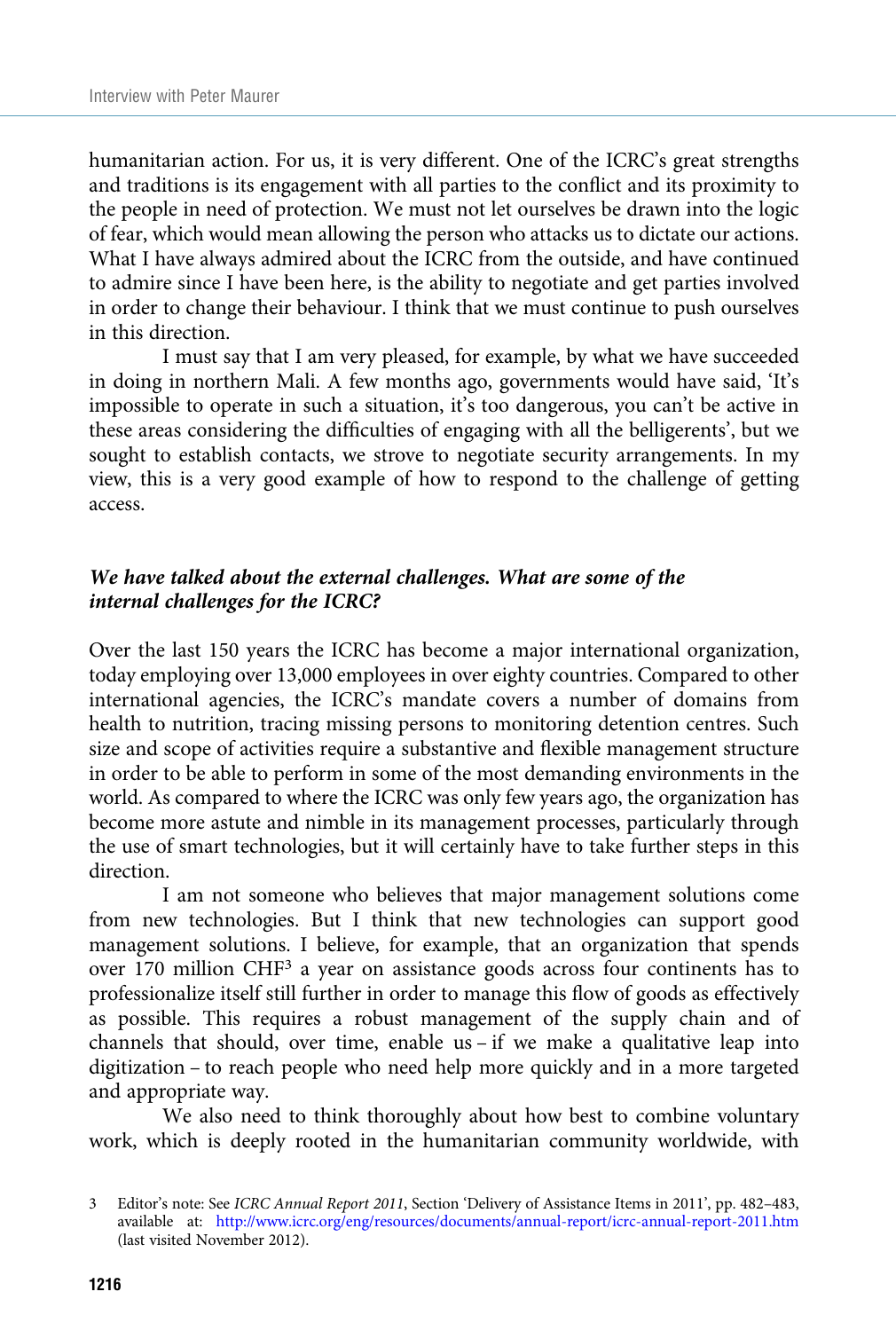humanitarian action. For us, it is very different. One of the ICRC's great strengths and traditions is its engagement with all parties to the conflict and its proximity to the people in need of protection. We must not let ourselves be drawn into the logic of fear, which would mean allowing the person who attacks us to dictate our actions. What I have always admired about the ICRC from the outside, and have continued to admire since I have been here, is the ability to negotiate and get parties involved in order to change their behaviour. I think that we must continue to push ourselves in this direction.

I must say that I am very pleased, for example, by what we have succeeded in doing in northern Mali. A few months ago, governments would have said, 'It's impossible to operate in such a situation, it's too dangerous, you can't be active in these areas considering the difficulties of engaging with all the belligerents', but we sought to establish contacts, we strove to negotiate security arrangements. In my view, this is a very good example of how to respond to the challenge of getting access.

## We have talked about the external challenges. What are some of the internal challenges for the ICRC?

Over the last 150 years the ICRC has become a major international organization, today employing over 13,000 employees in over eighty countries. Compared to other international agencies, the ICRC's mandate covers a number of domains from health to nutrition, tracing missing persons to monitoring detention centres. Such size and scope of activities require a substantive and flexible management structure in order to be able to perform in some of the most demanding environments in the world. As compared to where the ICRC was only few years ago, the organization has become more astute and nimble in its management processes, particularly through the use of smart technologies, but it will certainly have to take further steps in this direction.

I am not someone who believes that major management solutions come from new technologies. But I think that new technologies can support good management solutions. I believe, for example, that an organization that spends over 170 million CHF<sup>3</sup> a year on assistance goods across four continents has to professionalize itself still further in order to manage this flow of goods as effectively as possible. This requires a robust management of the supply chain and of channels that should, over time, enable us – if we make a qualitative leap into digitization – to reach people who need help more quickly and in a more targeted and appropriate way.

We also need to think thoroughly about how best to combine voluntary work, which is deeply rooted in the humanitarian community worldwide, with

<sup>3</sup> Editor's note: See ICRC Annual Report 2011, Section 'Delivery of Assistance Items in 2011', pp. 482–483, available at: <http://www.icrc.org/eng/resources/documents/annual-report/icrc-annual-report-2011.htm> (last visited November 2012).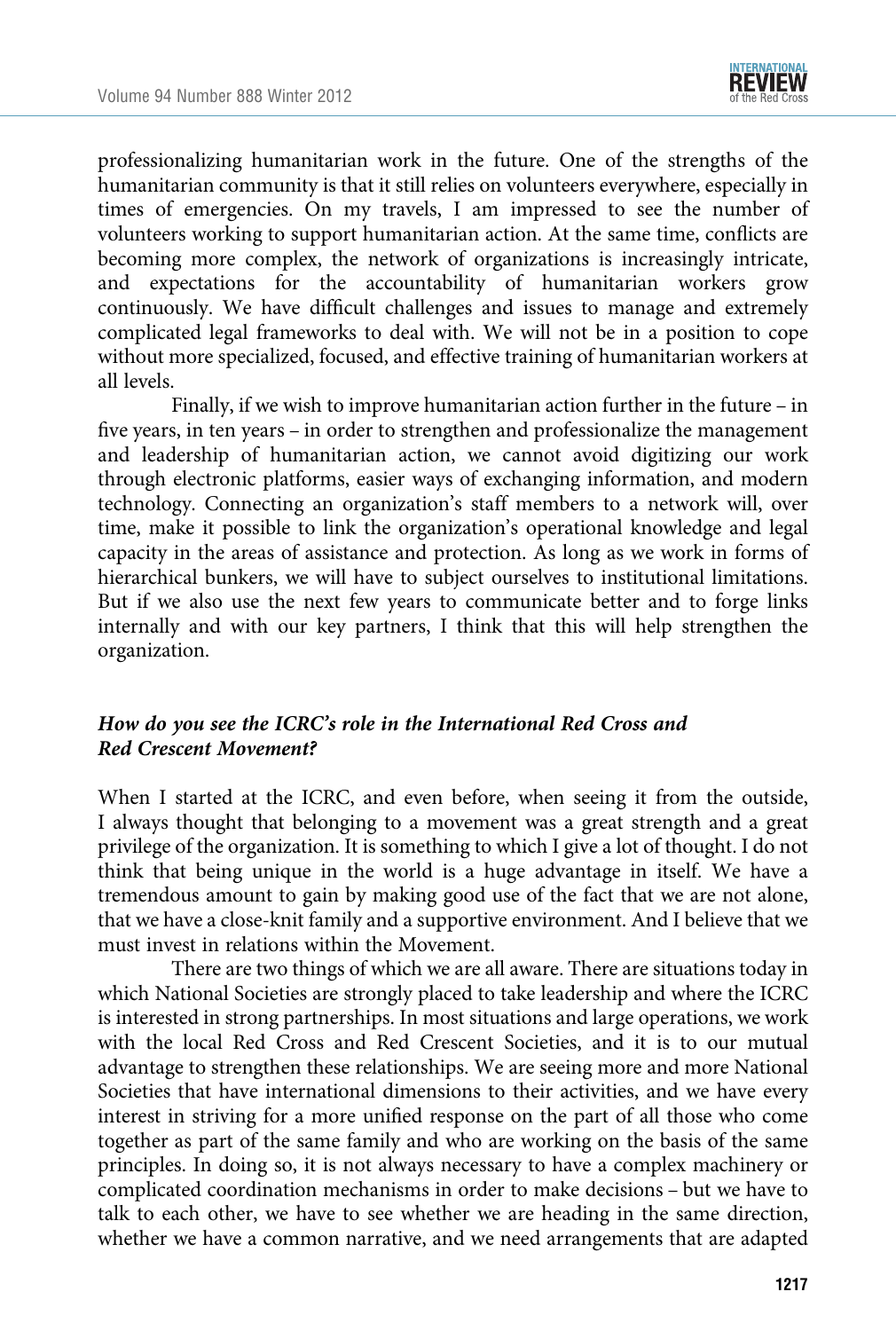

professionalizing humanitarian work in the future. One of the strengths of the humanitarian community is that it still relies on volunteers everywhere, especially in times of emergencies. On my travels, I am impressed to see the number of volunteers working to support humanitarian action. At the same time, conflicts are becoming more complex, the network of organizations is increasingly intricate, and expectations for the accountability of humanitarian workers grow continuously. We have difficult challenges and issues to manage and extremely complicated legal frameworks to deal with. We will not be in a position to cope without more specialized, focused, and effective training of humanitarian workers at all levels.

Finally, if we wish to improve humanitarian action further in the future – in five years, in ten years – in order to strengthen and professionalize the management and leadership of humanitarian action, we cannot avoid digitizing our work through electronic platforms, easier ways of exchanging information, and modern technology. Connecting an organization's staff members to a network will, over time, make it possible to link the organization's operational knowledge and legal capacity in the areas of assistance and protection. As long as we work in forms of hierarchical bunkers, we will have to subject ourselves to institutional limitations. But if we also use the next few years to communicate better and to forge links internally and with our key partners, I think that this will help strengthen the organization.

## How do you see the ICRC's role in the International Red Cross and Red Crescent Movement?

When I started at the ICRC, and even before, when seeing it from the outside, I always thought that belonging to a movement was a great strength and a great privilege of the organization. It is something to which I give a lot of thought. I do not think that being unique in the world is a huge advantage in itself. We have a tremendous amount to gain by making good use of the fact that we are not alone, that we have a close-knit family and a supportive environment. And I believe that we must invest in relations within the Movement.

There are two things of which we are all aware. There are situations today in which National Societies are strongly placed to take leadership and where the ICRC is interested in strong partnerships. In most situations and large operations, we work with the local Red Cross and Red Crescent Societies, and it is to our mutual advantage to strengthen these relationships. We are seeing more and more National Societies that have international dimensions to their activities, and we have every interest in striving for a more unified response on the part of all those who come together as part of the same family and who are working on the basis of the same principles. In doing so, it is not always necessary to have a complex machinery or complicated coordination mechanisms in order to make decisions – but we have to talk to each other, we have to see whether we are heading in the same direction, whether we have a common narrative, and we need arrangements that are adapted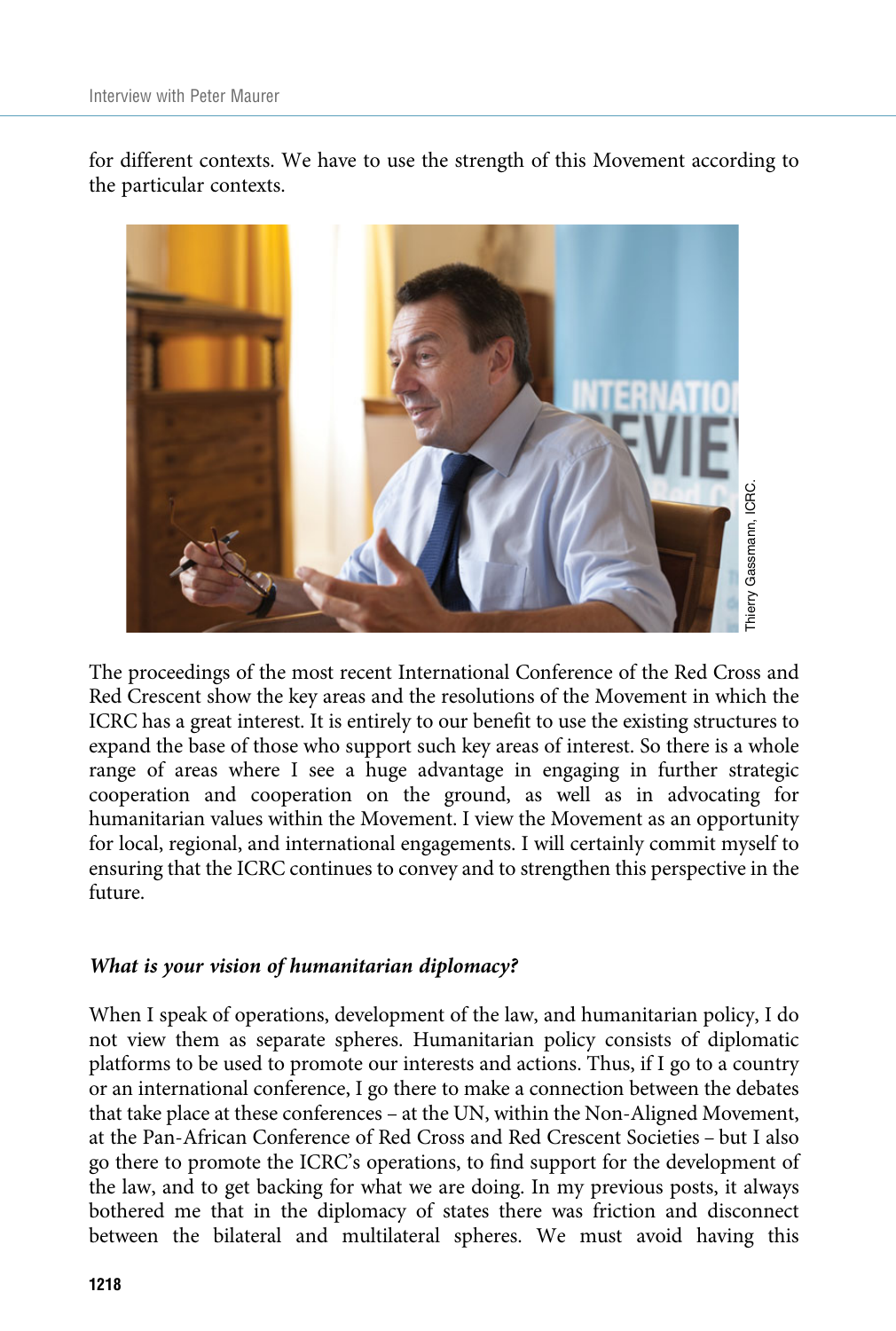for different contexts. We have to use the strength of this Movement according to the particular contexts.



The proceedings of the most recent International Conference of the Red Cross and Red Crescent show the key areas and the resolutions of the Movement in which the ICRC has a great interest. It is entirely to our benefit to use the existing structures to expand the base of those who support such key areas of interest. So there is a whole range of areas where I see a huge advantage in engaging in further strategic cooperation and cooperation on the ground, as well as in advocating for humanitarian values within the Movement. I view the Movement as an opportunity for local, regional, and international engagements. I will certainly commit myself to ensuring that the ICRC continues to convey and to strengthen this perspective in the future.

## What is your vision of humanitarian diplomacy?

When I speak of operations, development of the law, and humanitarian policy, I do not view them as separate spheres. Humanitarian policy consists of diplomatic platforms to be used to promote our interests and actions. Thus, if I go to a country or an international conference, I go there to make a connection between the debates that take place at these conferences – at the UN, within the Non-Aligned Movement, at the Pan-African Conference of Red Cross and Red Crescent Societies – but I also go there to promote the ICRC's operations, to find support for the development of the law, and to get backing for what we are doing. In my previous posts, it always bothered me that in the diplomacy of states there was friction and disconnect between the bilateral and multilateral spheres. We must avoid having this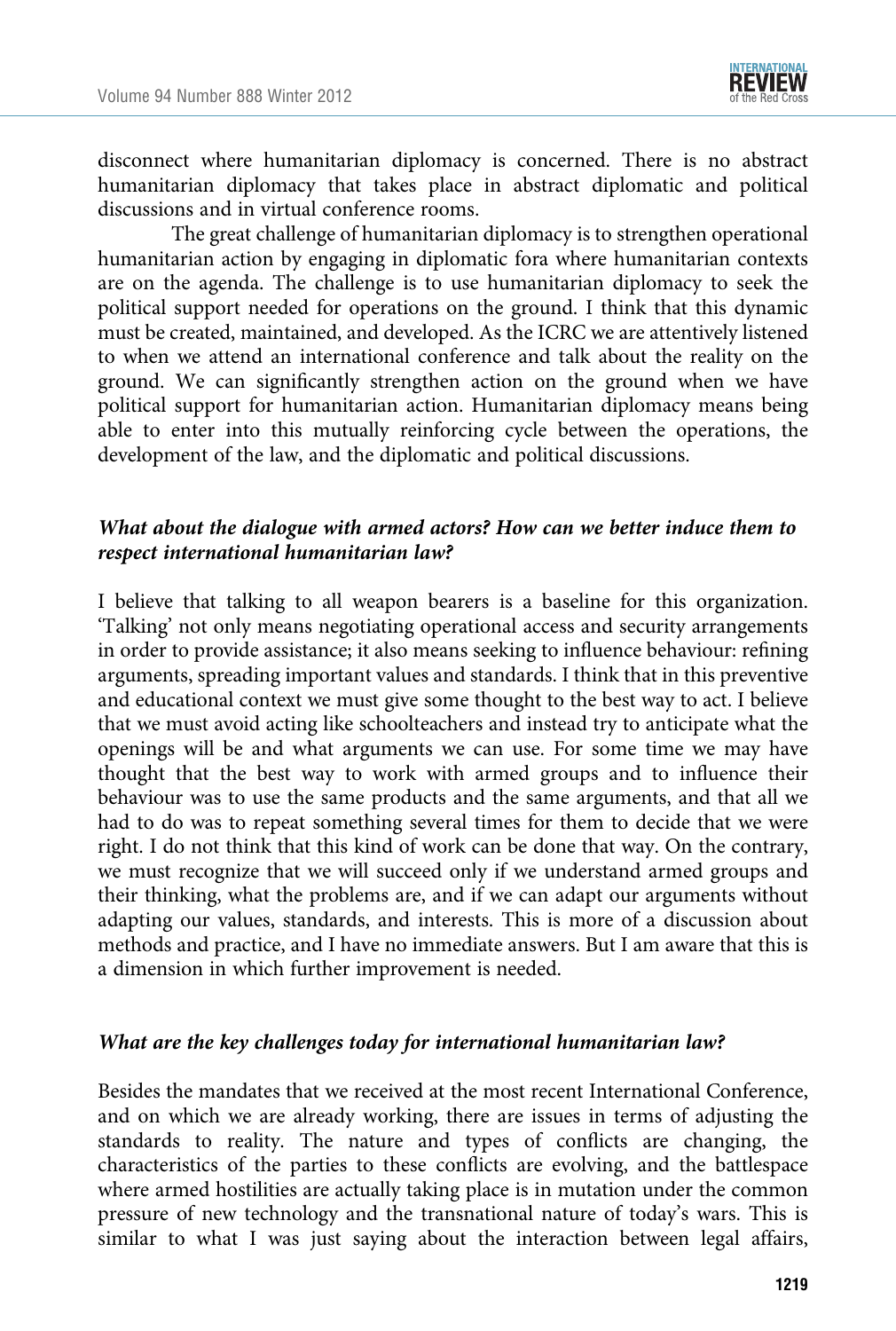

disconnect where humanitarian diplomacy is concerned. There is no abstract humanitarian diplomacy that takes place in abstract diplomatic and political discussions and in virtual conference rooms.

The great challenge of humanitarian diplomacy is to strengthen operational humanitarian action by engaging in diplomatic fora where humanitarian contexts are on the agenda. The challenge is to use humanitarian diplomacy to seek the political support needed for operations on the ground. I think that this dynamic must be created, maintained, and developed. As the ICRC we are attentively listened to when we attend an international conference and talk about the reality on the ground. We can significantly strengthen action on the ground when we have political support for humanitarian action. Humanitarian diplomacy means being able to enter into this mutually reinforcing cycle between the operations, the development of the law, and the diplomatic and political discussions.

## What about the dialogue with armed actors? How can we better induce them to respect international humanitarian law?

I believe that talking to all weapon bearers is a baseline for this organization. 'Talking' not only means negotiating operational access and security arrangements in order to provide assistance; it also means seeking to influence behaviour: refining arguments, spreading important values and standards. I think that in this preventive and educational context we must give some thought to the best way to act. I believe that we must avoid acting like schoolteachers and instead try to anticipate what the openings will be and what arguments we can use. For some time we may have thought that the best way to work with armed groups and to influence their behaviour was to use the same products and the same arguments, and that all we had to do was to repeat something several times for them to decide that we were right. I do not think that this kind of work can be done that way. On the contrary, we must recognize that we will succeed only if we understand armed groups and their thinking, what the problems are, and if we can adapt our arguments without adapting our values, standards, and interests. This is more of a discussion about methods and practice, and I have no immediate answers. But I am aware that this is a dimension in which further improvement is needed.

### What are the key challenges today for international humanitarian law?

Besides the mandates that we received at the most recent International Conference, and on which we are already working, there are issues in terms of adjusting the standards to reality. The nature and types of conflicts are changing, the characteristics of the parties to these conflicts are evolving, and the battlespace where armed hostilities are actually taking place is in mutation under the common pressure of new technology and the transnational nature of today's wars. This is similar to what I was just saying about the interaction between legal affairs,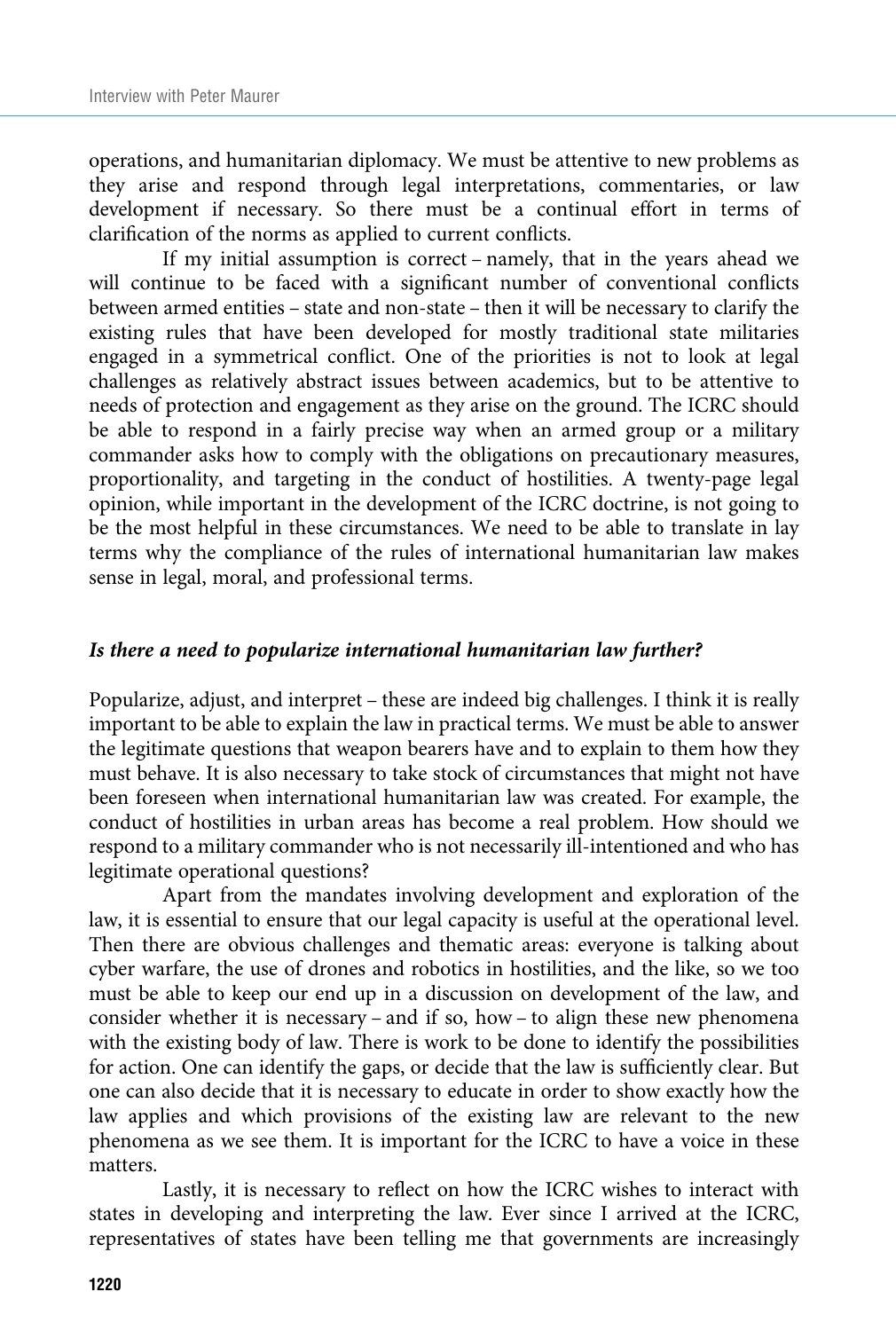operations, and humanitarian diplomacy. We must be attentive to new problems as they arise and respond through legal interpretations, commentaries, or law development if necessary. So there must be a continual effort in terms of clarification of the norms as applied to current conflicts.

If my initial assumption is correct – namely, that in the years ahead we will continue to be faced with a significant number of conventional conflicts between armed entities – state and non-state – then it will be necessary to clarify the existing rules that have been developed for mostly traditional state militaries engaged in a symmetrical conflict. One of the priorities is not to look at legal challenges as relatively abstract issues between academics, but to be attentive to needs of protection and engagement as they arise on the ground. The ICRC should be able to respond in a fairly precise way when an armed group or a military commander asks how to comply with the obligations on precautionary measures, proportionality, and targeting in the conduct of hostilities. A twenty-page legal opinion, while important in the development of the ICRC doctrine, is not going to be the most helpful in these circumstances. We need to be able to translate in lay terms why the compliance of the rules of international humanitarian law makes sense in legal, moral, and professional terms.

#### Is there a need to popularize international humanitarian law further?

Popularize, adjust, and interpret – these are indeed big challenges. I think it is really important to be able to explain the law in practical terms. We must be able to answer the legitimate questions that weapon bearers have and to explain to them how they must behave. It is also necessary to take stock of circumstances that might not have been foreseen when international humanitarian law was created. For example, the conduct of hostilities in urban areas has become a real problem. How should we respond to a military commander who is not necessarily ill-intentioned and who has legitimate operational questions?

Apart from the mandates involving development and exploration of the law, it is essential to ensure that our legal capacity is useful at the operational level. Then there are obvious challenges and thematic areas: everyone is talking about cyber warfare, the use of drones and robotics in hostilities, and the like, so we too must be able to keep our end up in a discussion on development of the law, and consider whether it is necessary – and if so, how – to align these new phenomena with the existing body of law. There is work to be done to identify the possibilities for action. One can identify the gaps, or decide that the law is sufficiently clear. But one can also decide that it is necessary to educate in order to show exactly how the law applies and which provisions of the existing law are relevant to the new phenomena as we see them. It is important for the ICRC to have a voice in these matters.

Lastly, it is necessary to reflect on how the ICRC wishes to interact with states in developing and interpreting the law. Ever since I arrived at the ICRC, representatives of states have been telling me that governments are increasingly